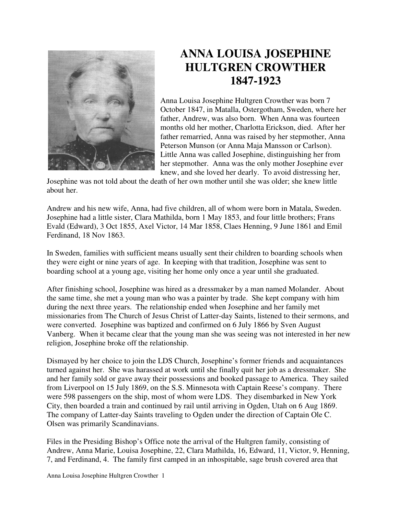

## **ANNA LOUISA JOSEPHINE HULTGREN CROWTHER 1847-1923**

Anna Louisa Josephine Hultgren Crowther was born 7 October 1847, in Matalla, Ostergotham, Sweden, where her father, Andrew, was also born. When Anna was fourteen months old her mother, Charlotta Erickson, died. After her father remarried, Anna was raised by her stepmother, Anna Peterson Munson (or Anna Maja Mansson or Carlson). Little Anna was called Josephine, distinguishing her from her stepmother. Anna was the only mother Josephine ever knew, and she loved her dearly. To avoid distressing her,

Josephine was not told about the death of her own mother until she was older; she knew little about her.

Andrew and his new wife, Anna, had five children, all of whom were born in Matala, Sweden. Josephine had a little sister, Clara Mathilda, born 1 May 1853, and four little brothers; Frans Evald (Edward), 3 Oct 1855, Axel Victor, 14 Mar 1858, Claes Henning, 9 June 1861 and Emil Ferdinand, 18 Nov 1863.

In Sweden, families with sufficient means usually sent their children to boarding schools when they were eight or nine years of age. In keeping with that tradition, Josephine was sent to boarding school at a young age, visiting her home only once a year until she graduated.

After finishing school, Josephine was hired as a dressmaker by a man named Molander. About the same time, she met a young man who was a painter by trade. She kept company with him during the next three years. The relationship ended when Josephine and her family met missionaries from The Church of Jesus Christ of Latter-day Saints, listened to their sermons, and were converted. Josephine was baptized and confirmed on 6 July 1866 by Sven August Vanberg. When it became clear that the young man she was seeing was not interested in her new religion, Josephine broke off the relationship.

Dismayed by her choice to join the LDS Church, Josephine's former friends and acquaintances turned against her. She was harassed at work until she finally quit her job as a dressmaker. She and her family sold or gave away their possessions and booked passage to America. They sailed from Liverpool on 15 July 1869, on the S.S. Minnesota with Captain Reese's company. There were 598 passengers on the ship, most of whom were LDS. They disembarked in New York City, then boarded a train and continued by rail until arriving in Ogden, Utah on 6 Aug 1869. The company of Latter-day Saints traveling to Ogden under the direction of Captain Ole C. Olsen was primarily Scandinavians.

Files in the Presiding Bishop's Office note the arrival of the Hultgren family, consisting of Andrew, Anna Marie, Louisa Josephine, 22, Clara Mathilda, 16, Edward, 11, Victor, 9, Henning, 7, and Ferdinand, 4. The family first camped in an inhospitable, sage brush covered area that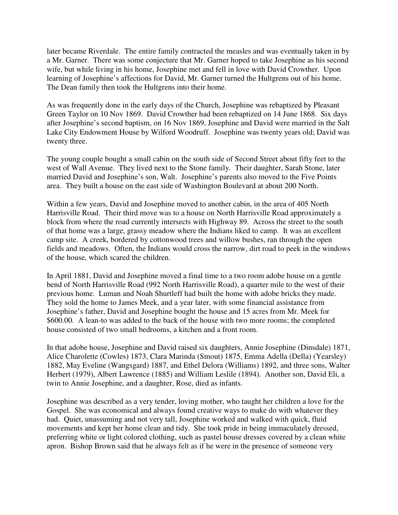later became Riverdale. The entire family contracted the measles and was eventually taken in by a Mr. Garner. There was some conjecture that Mr. Garner hoped to take Josephine as his second wife, but while living in his home, Josephine met and fell in love with David Crowther. Upon learning of Josephine's affections for David, Mr. Garner turned the Hultgrens out of his home. The Dean family then took the Hultgrens into their home.

As was frequently done in the early days of the Church, Josephine was rebaptized by Pleasant Green Taylor on 10 Nov 1869. David Crowther had been rebaptized on 14 June 1868. Six days after Josephine's second baptism, on 16 Nov 1869, Josephine and David were married in the Salt Lake City Endowment House by Wilford Woodruff. Josephine was twenty years old; David was twenty three.

The young couple bought a small cabin on the south side of Second Street about fifty feet to the west of Wall Avenue. They lived next to the Stone family. Their daughter, Sarah Stone, later married David and Josephine's son, Walt. Josephine's parents also moved to the Five Points area. They built a house on the east side of Washington Boulevard at about 200 North.

Within a few years, David and Josephine moved to another cabin, in the area of 405 North Harrisville Road. Their third move was to a house on North Harrisville Road approximately a block from where the road currently intersects with Highway 89. Across the street to the south of that home was a large, grassy meadow where the Indians liked to camp. It was an excellent camp site. A creek, bordered by cottonwood trees and willow bushes, ran through the open fields and meadows. Often, the Indians would cross the narrow, dirt road to peek in the windows of the house, which scared the children.

In April 1881, David and Josephine moved a final time to a two room adobe house on a gentle bend of North Harrisville Road (992 North Harrisville Road), a quarter mile to the west of their previous home. Luman and Noah Shurtleff had built the home with adobe bricks they made. They sold the home to James Meek, and a year later, with some financial assistance from Josephine's father, David and Josephine bought the house and 15 acres from Mr. Meek for \$600.00. A lean-to was added to the back of the house with two more rooms; the completed house consisted of two small bedrooms, a kitchen and a front room.

In that adobe house, Josephine and David raised six daughters, Annie Josephine (Dinsdale) 1871, Alice Charolette (Cowles) 1873, Clara Marinda (Smout) 1875, Emma Adella (Della) (Yearsley) 1882, May Eveline (Wangsgard) 1887, and Ethel Delora (Williams) 1892, and three sons, Walter Herbert (1979), Albert Lawrence (1885) and William Leslile (1894). Another son, David Eli, a twin to Annie Josephine, and a daughter, Rose, died as infants.

Josephine was described as a very tender, loving mother, who taught her children a love for the Gospel. She was economical and always found creative ways to make do with whatever they had. Quiet, unassuming and not very tall, Josephine worked and walked with quick, fluid movements and kept her home clean and tidy. She took pride in being immaculately dressed, preferring white or light colored clothing, such as pastel house dresses covered by a clean white apron. Bishop Brown said that he always felt as if he were in the presence of someone very